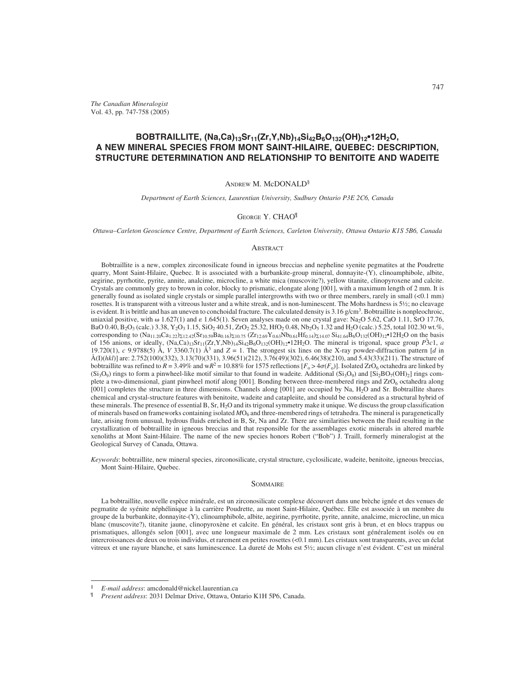*The Canadian Mineralogist* Vol. 43, pp. 747-758 (2005)

# **BOBTRAILLITE, (Na,Ca)13Sr11(Zr,Y,Nb)14Si42B6O132(OH)12•12H2O, A NEW MINERAL SPECIES FROM MONT SAINT-HILAIRE, QUEBEC: DESCRIPTION, STRUCTURE DETERMINATION AND RELATIONSHIP TO BENITOITE AND WADEITE**

# ANDREW M. McDONALD§

*Department of Earth Sciences, Laurentian University, Sudbury Ontario P3E 2C6, Canada*

#### GEORGE Y. CHAO¶

*Ottawa–Carleton Geoscience Centre, Department of Earth Sciences, Carleton University, Ottawa Ontario K1S 5B6, Canada*

#### **ABSTRACT**

Bobtraillite is a new, complex zirconosilicate found in igneous breccias and nepheline syenite pegmatites at the Poudrette quarry, Mont Saint-Hilaire, Quebec. It is associated with a burbankite-group mineral, donnayite-(Y), clinoamphibole, albite, aegirine, pyrrhotite, pyrite, annite, analcime, microcline, a white mica (muscovite?), yellow titanite, clinopyroxene and calcite. Crystals are commonly grey to brown in color, blocky to prismatic, elongate along [001], with a maximum length of 2 mm. It is generally found as isolated single crystals or simple parallel intergrowths with two or three members, rarely in small (<0.1 mm) rosettes. It is transparent with a vitreous luster and a white streak, and is non-luminescent. The Mohs hardness is 5½; no cleavage is evident. It is brittle and has an uneven to conchoidal fracture. The calculated density is 3.16 g/cm<sup>3</sup>. Bobtraillite is nonpleochroic, uniaxial positive, with  $\omega$  1.627(1) and  $\varepsilon$  1.645(1). Seven analyses made on one crystal gave: Na<sub>2</sub>O 5.62, CaO 1.11, SrO 17.76, BaO 0.40, B2O3 (calc.) 3.38, Y2O3 1.15, SiO2 40.51, ZrO2 25.32, HfO2 0.48, Nb2O5 1.32 and H2O (calc.) 5.25, total 102.30 wt.%, corresponding to  $(Na_{11.20}Ca_{1.22})_{\Sigma12.42}(Sr_{10.59}Ba_{0.16})_{\Sigma10.75} (Zr_{12.69}Y_{0.63}Nb_{0.61}Hf_{0.14})_{\Sigma14.07}Si_{41.64}B_6O_{132}(OH)_{12}$ <sup>+</sup>12H<sub>2</sub>O on the basis of 156 anions, or ideally,  $(Na,Ca)_{13}Sr_{11}(Zr,Y,Nb)_{14}Si_{42}B_6O_{132}(OH)_{12}^{\bullet}$ <sup>12H<sub>2</sub>O. The mineral is trigonal, space group *P*3*c*1, *a*</sup> 19.720(1), *c* 9.9788(5) Å, *V* 3360.7(1) Å<sup>3</sup> and  $Z = 1$ . The strongest six lines on the X-ray powder-diffraction pattern [*d* in Å(I)(*hkl*)] are: 2.752(100)(332), 3.13(70)(331), 3.96(51)(212), 3.76(49)(302), 6.46(38)(210), and 5.43(33)(211). The structure of bobtraillite was refined to  $R = 3.49\%$  and w $R^2 = 10.88\%$  for 1575 reflections  $[F_0 > 4\sigma(F_0)]$ . Isolated ZrO<sub>6</sub> octahedra are linked by  $(Si<sub>3</sub>O<sub>9</sub>)$  rings to form a pinwheel-like motif similar to that found in wadeite. Additional  $(Si<sub>3</sub>O<sub>9</sub>)$  and  $[Si<sub>2</sub>BO<sub>7</sub>(OH)<sub>2</sub>]$  rings complete a two-dimensional, giant pinwheel motif along [001]. Bonding between three-membered rings and ZrO<sub>6</sub> octahedra along [001] completes the structure in three dimensions. Channels along [001] are occupied by Na, H2O and Sr. Bobtraillite shares chemical and crystal-structure features with benitoite, wadeite and catapleiite, and should be considered as a structural hybrid of these minerals. The presence of essential B, Sr, H2O and its trigonal symmetry make it unique. We discuss the group classification of minerals based on frameworks containing isolated  $MO_6$  and three-membered rings of tetrahedra. The mineral is paragenetically late, arising from unusual, hydrous fluids enriched in B, Sr, Na and Zr. There are similarities between the fluid resulting in the crystallization of bobtraillite in igneous breccias and that responsible for the assemblages exotic minerals in altered marble xenoliths at Mont Saint-Hilaire. The name of the new species honors Robert ("Bob") J. Traill, formerly mineralogist at the Geological Survey of Canada, Ottawa.

*Keywords*: bobtraillite, new mineral species, zirconosilicate, crystal structure, cyclosilicate, wadeite, benitoite, igneous breccias, Mont Saint-Hilaire, Quebec.

# SOMMAIRE

La bobtraillite, nouvelle espèce minérale, est un zirconosilicate complexe découvert dans une brèche ignée et des venues de pegmatite de syénite néphélinique à la carrière Poudrette, au mont Saint-Hilaire, Québec. Elle est associée à un membre du groupe de la burbankite, donnayite-(Y), clinoamphibole, albite, aegirine, pyrrhotite, pyrite, annite, analcime, microcline, un mica blanc (muscovite?), titanite jaune, clinopyroxène et calcite. En général, les cristaux sont gris à brun, et en blocs trappus ou prismatiques, allongés selon [001], avec une longueur maximale de 2 mm. Les cristaux sont généralement isolés ou en intercroissances de deux ou trois individus, et rarement en petites rosettes (<0.1 mm). Les cristaux sont transparents, avec un éclat vitreux et une rayure blanche, et sans luminescence. La dureté de Mohs est 5½; aucun clivage n'est évident. C'est un minéral

<sup>§</sup> *E-mail address*: amcdonald@nickel.laurentian.ca

<sup>¶</sup> *Present address*: 2031 Delmar Drive, Ottawa, Ontario K1H 5P6, Canada.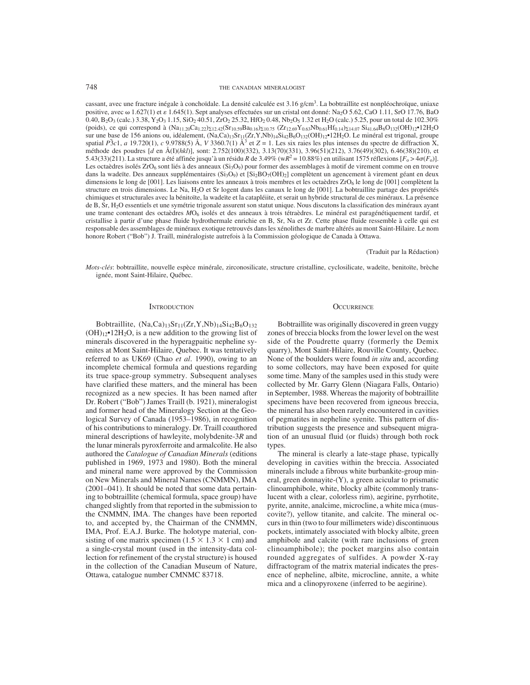748 THE CANADIAN MINERALOGIST

cassant, avec une fracture inégale à conchoïdale. La densité calculée est 3.16 g/cm<sup>3</sup>. La bobtraillite est nonpléochroïque, uniaxe positive, avec  $\omega$  1.627(1) et  $\varepsilon$  1.645(1). Sept analyses effectuées sur un cristal ont donné: Na<sub>2</sub>O 5.62, CaO 1.11, SrO 17.76, BaO 0.40, B<sub>2</sub>O<sub>3</sub> (calc.) 3.38, Y<sub>2</sub>O<sub>3</sub> 1.15, SiO<sub>2</sub> 40.51, ZrO<sub>2</sub> 25.32, HfO<sub>2</sub> 0.48, Nb<sub>2</sub>O<sub>5</sub> 1.32 et H<sub>2</sub>O (calc.) 5.25, pour un total de 102.30% (poids), ce qui correspond à  $(Na_{11.20}Ca_{1.22})\times_{12.42}(Sr_{10.59}Ba_{0.16})\times_{10.75}(Zr_{12.69}Y_{0.63}Nb_{0.61}Hf_{0.14})\times_{14.07}Si_{41.64}B_6O_{132}(OH)_{12}^{\bullet}12H_2O$ sur une base de 156 anions ou, idéalement, (Na,Ca)<sub>13</sub>Sr<sub>11</sub>(Zr,Y,Nb)<sub>14</sub>Si<sub>42B6</sub>O<sub>132</sub>(OH)<sub>12</sub>•12H<sub>2</sub>O. Le minéral est trigonal, groupe spatial  $\overline{P}$ 3*c*1, *a* 19.720(1), *c* 9.9788(5) Å, *V* 3360.7(1) Å<sup>3</sup> et *Z* = 1. Les six raies les plus intenses du spectre de diffraction X, méthode des poudres [*d* en Å(I)(*hkl*)], sont: 2.752(100)(332), 3.13(70)(331), 3.96(51)(212), 3.76(49)(302), 6.46(38)(210), et 5.43(33)(211). La structure a été affinée jusqu'à un résidu *R* de 3.49% (w $R^2 = 10.88$ %) en utilisant 1575 réflexions [ $F_0 > 4\sigma(F_0)$ ]. Les octaèdres isolés ZrO<sub>6</sub> sont liés à des anneaux (Si<sub>3</sub>O<sub>9</sub>) pour former des assemblages à motif de virement comme on en trouve dans la wadeïte. Des anneaux supplémentaires  $(Si_3O_9)$  et  $[Si_2BO_7(OH)_2]$  complètent un agencement à virement géant en deux dimensions le long de [001]. Les liaisons entre les anneaux à trois membres et les octaèdres ZrO<sub>6</sub> le long de [001] complètent la structure en trois dimensions. Le Na, H2O et Sr logent dans les canaux le long de [001]. La bobtraillite partage des propriétés chimiques et structurales avec la bénitoïte, la wadeïte et la catapléiite, et serait un hybride structural de ces minéraux. La présence de B, Sr, H2O essentiels et une symétrie trigonale assurent son statut unique. Nous discutons la classification des minéraux ayant une trame contenant des octaèdres *M*O6 isolés et des anneaux à trois tétraèdres. Le minéral est paragénétiquement tardif, et cristallise à partir d'une phase fluide hydrothermale enrichie en B, Sr, Na et Zr. Cette phase fluide ressemble à celle qui est responsable des assemblages de minéraux exotique retrouvés dans les xénolithes de marbre altérés au mont Saint-Hilaire. Le nom honore Robert ("Bob") J. Traill, minéralogiste autrefois à la Commission géologique de Canada à Ottawa.

#### (Traduit par la Rédaction)

*Mots-clés*: bobtraillite, nouvelle espèce minérale, zirconosilicate, structure cristalline, cyclosilicate, wadeïte, benitoïte, brèche ignée, mont Saint-Hilaire, Québec.

#### **INTRODUCTION**

Bobtraillite,  $(Na,Ca)_{13}Sr_{11}(Zr,Y,Nb)_{14}Si_{42}B_6O_{132}$  $(OH)_{12}$ •12H<sub>2</sub>O, is a new addition to the growing list of minerals discovered in the hyperagpaitic nepheline syenites at Mont Saint-Hilaire, Quebec. It was tentatively referred to as UK69 (Chao *et al*. 1990), owing to an incomplete chemical formula and questions regarding its true space-group symmetry. Subsequent analyses have clarified these matters, and the mineral has been recognized as a new species. It has been named after Dr. Robert ("Bob") James Traill (b. 1921), mineralogist and former head of the Mineralogy Section at the Geological Survey of Canada (1953–1986), in recognition of his contributions to mineralogy. Dr. Traill coauthored mineral descriptions of hawleyite, molybdenite-3*R* and the lunar minerals pyroxferroite and armalcolite. He also authored the *Catalogue of Canadian Minerals* (editions published in 1969, 1973 and 1980). Both the mineral and mineral name were approved by the Commission on New Minerals and Mineral Names (CNMMN), IMA (2001–041). It should be noted that some data pertaining to bobtraillite (chemical formula, space group) have changed slightly from that reported in the submission to the CNMMN, IMA. The changes have been reported to, and accepted by, the Chairman of the CNMMN, IMA, Prof. E.A.J. Burke. The holotype material, consisting of one matrix specimen (1.5  $\times$  1.3  $\times$  1 cm) and a single-crystal mount (used in the intensity-data collection for refinement of the crystal structure) is housed in the collection of the Canadian Museum of Nature, Ottawa, catalogue number CMNMC 83718.

#### **OCCURRENCE**

Bobtraillite was originally discovered in green vuggy zones of breccia blocks from the lower level on the west side of the Poudrette quarry (formerly the Demix quarry), Mont Saint-Hilaire, Rouville County, Quebec. None of the boulders were found *in situ* and, according to some collectors, may have been exposed for quite some time. Many of the samples used in this study were collected by Mr. Garry Glenn (Niagara Falls, Ontario) in September, 1988. Whereas the majority of bobtraillite specimens have been recovered from igneous breccia, the mineral has also been rarely encountered in cavities of pegmatites in nepheline syenite. This pattern of distribution suggests the presence and subsequent migration of an unusual fluid (or fluids) through both rock types.

The mineral is clearly a late-stage phase, typically developing in cavities within the breccia. Associated minerals include a fibrous white burbankite-group mineral, green donnayite-(Y), a green acicular to prismatic clinoamphibole, white, blocky albite (commonly translucent with a clear, colorless rim), aegirine, pyrrhotite, pyrite, annite, analcime, microcline, a white mica (muscovite?), yellow titanite, and calcite. The mineral occurs in thin (two to four millimeters wide) discontinuous pockets, intimately associated with blocky albite, green amphibole and calcite (with rare inclusions of green clinoamphibole); the pocket margins also contain rounded aggregates of sulfides. A powder X-ray diffractogram of the matrix material indicates the presence of nepheline, albite, microcline, annite, a white mica and a clinopyroxene (inferred to be aegirine).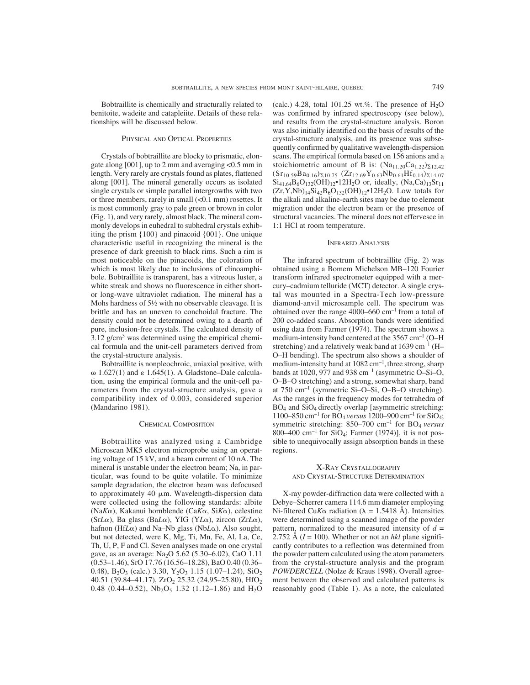Bobtraillite is chemically and structurally related to benitoite, wadeite and catapleiite. Details of these relationships will be discussed below.

### PHYSICAL AND OPTICAL PROPERTIES

Crystals of bobtraillite are blocky to prismatic, elongate along [001], up to 2 mm and averaging <0.5 mm in length. Very rarely are crystals found as plates, flattened along [001]. The mineral generally occurs as isolated single crystals or simple parallel intergrowths with two or three members, rarely in small (<0.1 mm) rosettes. It is most commonly gray to pale green or brown in color (Fig. 1), and very rarely, almost black. The mineral commonly develops in euhedral to subhedral crystals exhibiting the prism {100} and pinacoid {001}. One unique characteristic useful in recognizing the mineral is the presence of dark greenish to black rims. Such a rim is most noticeable on the pinacoids, the coloration of which is most likely due to inclusions of clinoamphibole. Bobtraillite is transparent, has a vitreous luster, a white streak and shows no fluorescence in either shortor long-wave ultraviolet radiation. The mineral has a Mohs hardness of 5½ with no observable cleavage. It is brittle and has an uneven to conchoidal fracture. The density could not be determined owing to a dearth of pure, inclusion-free crystals. The calculated density of  $3.12$  g/cm<sup>3</sup> was determined using the empirical chemical formula and the unit-cell parameters derived from the crystal-structure analysis.

Bobtraillite is nonpleochroic, uniaxial positive, with  $\omega$  1.627(1) and  $\varepsilon$  1.645(1). A Gladstone–Dale calculation, using the empirical formula and the unit-cell parameters from the crystal-structure analysis, gave a compatibility index of 0.003, considered superior (Mandarino 1981).

#### CHEMICAL COMPOSITION

Bobtraillite was analyzed using a Cambridge Microscan MK5 electron microprobe using an operating voltage of 15 kV, and a beam current of 10 nA. The mineral is unstable under the electron beam; Na, in particular, was found to be quite volatile. To minimize sample degradation, the electron beam was defocused to approximately 40  $\mu$ m. Wavelength-dispersion data were collected using the following standards: albite (Na $K\alpha$ ), Kakanui hornblende (Ca $K\alpha$ , Si $K\alpha$ ), celestine (SrL $\alpha$ ), Ba glass (BaL $\alpha$ ), YIG (YL $\alpha$ ), zircon (ZrL $\alpha$ ), hafnon (Hf $L\alpha$ ) and Na–Nb glass (Nb $L\alpha$ ). Also sought, but not detected, were K, Mg, Ti, Mn, Fe, Al, La, Ce, Th, U, P, F and Cl. Seven analyses made on one crystal gave, as an average: Na2O 5.62 (5.30–6.02), CaO 1.11 (0.53–1.46), SrO 17.76 (16.56–18.28), BaO 0.40 (0.36– 0.48), B<sub>2</sub>O<sub>3</sub> (calc.) 3.30, Y<sub>2</sub>O<sub>3</sub> 1.15 (1.07–1.24), SiO<sub>2</sub> 40.51 (39.84–41.17),  $ZrO<sub>2</sub>$  25.32 (24.95–25.80), HfO<sub>2</sub> 0.48 (0.44–0.52),  $Nb<sub>2</sub>O<sub>5</sub>$  1.32 (1.12–1.86) and H<sub>2</sub>O (calc.) 4.28, total 101.25 wt.%. The presence of  $H_2O$ was confirmed by infrared spectroscopy (see below), and results from the crystal-structure analysis. Boron was also initially identified on the basis of results of the crystal-structure analysis, and its presence was subsequently confirmed by qualitative wavelength-dispersion scans. The empirical formula based on 156 anions and a stoichiometric amount of B is:  $(Na_{11.20}Ca_{1.22})_{\Sigma12.42}$  $(Sr_{10.59}Ba_{0.16})\Sigma_{10.75}$   $(Zr_{12.69}Y_{0.63}Nb_{0.61}Hf_{0.14})\Sigma_{14.07}$  $Si_{41.64}B_6O_{132}(OH)_{12}$ •12H<sub>2</sub>O or, ideally,  $(Na,Ca)_{13}Sr_{11}$  $(Zr, Y, Nb)_{14}Si_{42}B_6O_{132}(OH)_{12}$ •12H<sub>2</sub>O. Low totals for the alkali and alkaline-earth sites may be due to element migration under the electron beam or the presence of structural vacancies. The mineral does not effervesce in 1:1 HCl at room temperature.

## INFRARED ANALYSIS

The infrared spectrum of bobtraillite (Fig. 2) was obtained using a Bomem Michelson MB–120 Fourier transform infrared spectrometer equipped with a mercury–cadmium telluride (MCT) detector. A single crystal was mounted in a Spectra-Tech low-pressure diamond-anvil microsample cell. The spectrum was obtained over the range 4000–660 cm–1 from a total of 200 co-added scans. Absorption bands were identified using data from Farmer (1974). The spectrum shows a medium-intensity band centered at the 3567 cm–1 (O–H stretching) and a relatively weak band at  $1639 \text{ cm}^{-1}$  (H– O–H bending). The spectrum also shows a shoulder of medium-intensity band at  $1082 \text{ cm}^{-1}$ , three strong, sharp bands at 1020, 977 and 938 cm<sup>-1</sup> (asymmetric O–Si–O, O–B–O stretching) and a strong, somewhat sharp, band at  $750 \text{ cm}^{-1}$  (symmetric Si-O–Si, O–B–O stretching). As the ranges in the frequency modes for tetrahedra of BO4 and SiO4 directly overlap [asymmetric stretching: 1100–850 cm–1 for BO4 *versus* 1200–900 cm–1 for SiO4; symmetric stretching: 850–700 cm–1 for BO4 *versus* 800–400 cm<sup>-1</sup> for SiO<sub>4</sub>; Farmer (1974)], it is not possible to unequivocally assign absorption bands in these regions.

## X-RAY CRYSTALLOGRAPHY AND CRYSTAL-STRUCTURE DETERMINATION

X-ray powder-diffraction data were collected with a Debye–Scherrer camera 114.6 mm diameter employing Ni-filtered Cu*K* $\alpha$  radiation ( $\lambda = 1.5418$  Å). Intensities were determined using a scanned image of the powder pattern, normalized to the measured intensity of  $d =$ 2.752 Å  $(I = 100)$ . Whether or not an *hkl* plane significantly contributes to a reflection was determined from the powder pattern calculated using the atom parameters from the crystal-structure analysis and the program *POWDERCELL* (Nolze & Kraus 1998). Overall agreement between the observed and calculated patterns is reasonably good (Table 1). As a note, the calculated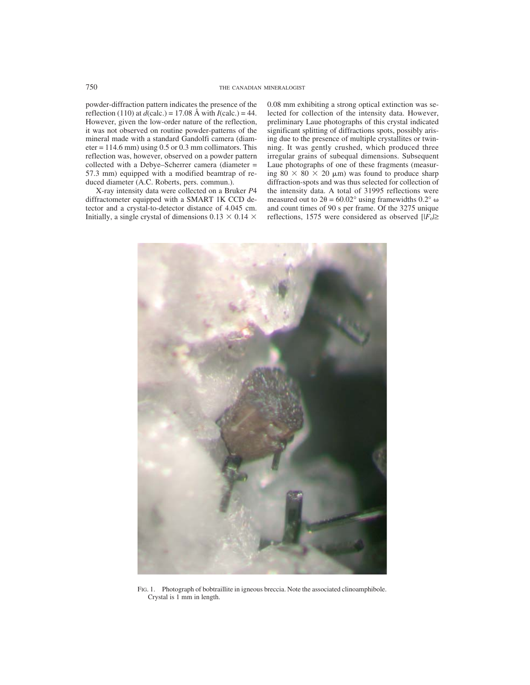powder-diffraction pattern indicates the presence of the reflection (110) at  $d$ (calc.) = 17.08 Å with  $I$ (calc.) = 44. However, given the low-order nature of the reflection, it was not observed on routine powder-patterns of the mineral made with a standard Gandolfi camera (diam $eter = 114.6$  mm) using 0.5 or 0.3 mm collimators. This reflection was, however, observed on a powder pattern collected with a Debye–Scherrer camera (diameter = 57.3 mm) equipped with a modified beamtrap of reduced diameter (A.C. Roberts, pers. commun.).

X-ray intensity data were collected on a Bruker *P*4 diffractometer equipped with a SMART 1K CCD detector and a crystal-to-detector distance of 4.045 cm. Initially, a single crystal of dimensions  $0.13 \times 0.14 \times$  0.08 mm exhibiting a strong optical extinction was selected for collection of the intensity data. However, preliminary Laue photographs of this crystal indicated significant splitting of diffractions spots, possibly arising due to the presence of multiple crystallites or twinning. It was gently crushed, which produced three irregular grains of subequal dimensions. Subsequent Laue photographs of one of these fragments (measuring  $80 \times 80 \times 20 \mu m$  was found to produce sharp diffraction-spots and was thus selected for collection of the intensity data. A total of 31995 reflections were measured out to  $2\theta = 60.02^{\circ}$  using framewidths  $0.2^{\circ}$  ω and count times of 90 s per frame. Of the 3275 unique reflections, 1575 were considered as observed  $[|F_0| \ge$ 



FIG. 1. Photograph of bobtraillite in igneous breccia. Note the associated clinoamphibole. Crystal is 1 mm in length.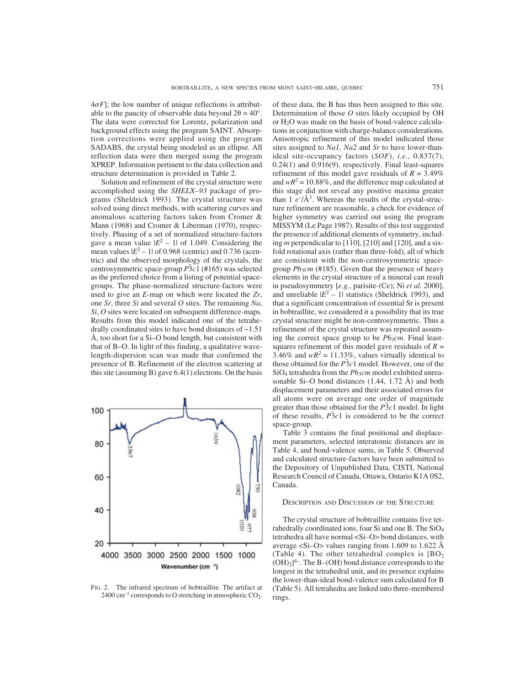$4\sigma F$ ; the low number of unique reflections is attributable to the paucity of observable data beyond  $2\theta = 40^{\circ}$ . The data were corrected for Lorentz, polarization and background effects using the program SAINT. Absorption corrections were applied using the program SADABS, the crystal being modeled as an ellipse. All reflection data were then merged using the program XPREP. Information pertinent to the data collection and structure determination is provided in Table 2.

Solution and refinement of the crystal structure were accomplished using the *SHELX–93* package of programs (Sheldrick 1993). The crystal structure was solved using direct methods, with scattering curves and anomalous scattering factors taken from Cromer & Mann (1968) and Cromer & Liberman (1970), respectively. Phasing of a set of normalized structure-factors gave a mean value  $|E^2 - 1|$  of 1.049. Considering the mean values  $|E^2 - 1|$  of 0.968 (centric) and 0.736 (acentric) and the observed morphology of the crystals, the centrosymmetric space-group *P*¯ 3*c*1 (#165) was selected as the preferred choice from a listing of potential spacegroups. The phase-normalized structure-factors were used to give an *E*-map on which were located the *Zr*, one *Sr*, three *Si* and several *O* sites. The remaining *Na*, *Si*, *O* sites were located on subsequent difference-maps. Results from this model indicated one of the tetrahedrally coordinated sites to have bond distances of ~1.51 Å, too short for a Si–O bond length, but consistent with that of B–O. In light of this finding, a qualitative wavelength-dispersion scan was made that confirmed the presence of B. Refinement of the electron scattering at this site (assuming B) gave 6.4(1) electrons. On the basis



FIG. 2. The infrared spectrum of bobtraillite. The artifact at  $2400 \text{ cm}^{-1}$  corresponds to O stretching in atmospheric CO<sub>2</sub>.

of these data, the B has thus been assigned to this site. Determination of those *O* sites likely occupied by OH or  $H_2O$  was made on the basis of bond-valence calculations in conjunction with charge-balance considerations. Anisotropic refinement of this model indicated those sites assigned to *Na1, Na2* and *Sr* to have lower-thanideal site-occupancy factors (*SOF*), *i.e.*, 0.837(7), 0.24(1) and 0.916(9), respectively. Final least-squares refinement of this model gave residuals of  $R = 3.49\%$ and  $wR^2 = 10.88\%$ , and the difference map calculated at this stage did not reveal any positive maxima greater than  $1 e^{-}/\text{\AA}^3$ . Whereas the results of the crystal-structure refinement are reasonable, a check for evidence of higher symmetry was carried out using the program MISSYM (Le Page 1987). Results of this test suggested the presence of additional elements of symmetry, including *m* perpendicular to [110], [210] and [120], and a sixfold rotational axis (rather than three-fold), all of which are consistent with the non-centrosymmetric spacegroup *P*6<sub>3</sub>*cm* (#185). Given that the presence of heavy elements in the crystal structure of a mineral can result in pseudosymmetry [*e.g.*, parisite-(Ce); Ni *et al.* 2000], and unreliable  $|E^2 - 1|$  statistics (Sheldrick 1993), and that a significant concentration of essential Sr is present in bobtraillite, we considered it a possibility that its true crystal structure might be non-centrosymmetric. Thus a refinement of the crystal structure was repeated assuming the correct space group to be  $P6<sub>3</sub>cm$ . Final leastsquares refinement of this model gave residuals of  $R =$ 3.46% and  $wR^2 = 11.33\%$ , values virtually identical to those obtained for the  $\overline{P}$ 3*c*1 model. However, one of the SiO<sub>4</sub> tetrahedra from the *P*63*cm* model exhibited unreasonable Si–O bond distances  $(1.44, 1.72 \text{ Å})$  and both displacement parameters and their associated errors for all atoms were on average one order of magnitude greater than those obtained for the *P*¯ 3*c*1 model. In light of these results,  $\overrightarrow{P_3c1}$  is considered to be the correct space-group.

Table 3 contains the final positional and displacement parameters, selected interatomic distances are in Table 4, and bond-valence sums, in Table 5. Observed and calculated structure-factors have been submitted to the Depository of Unpublished Data, CISTI, National Research Council of Canada, Ottawa, Ontario K1A 0S2, Canada.

### DESCRIPTION AND DISCUSSION OF THE STRUCTURE

The crystal structure of bobtraillite contains five tetrahedrally coordinated ions, four Si and one B. The SiO4 tetrahedra all have normal <Si–O> bond distances, with average  $\langle$ Si–O $>$  values ranging from 1.609 to 1.622 Å (Table 4). The other tetrahedral complex is  $[BO<sub>2</sub>]$  $(OH)_2$ <sup>14</sup>. The B–(OH) bond distance corresponds to the longest in the tetrahedral unit, and its presence explains the lower-than-ideal bond-valence sum calculated for B (Table 5). All tetrahedra are linked into three-membered rings.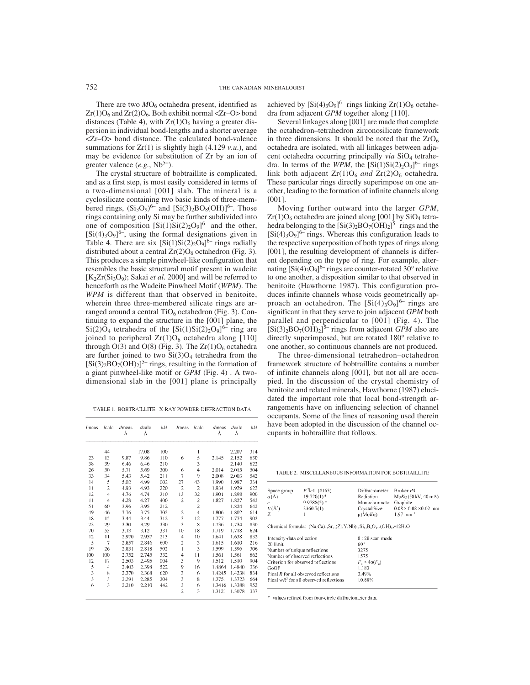There are two  $MO_6$  octahedra present, identified as  $Zr(1)O_6$  and  $Zr(2)O_6$ . Both exhibit normal <Zr–O> bond distances (Table 4), with  $Zr(1)O_6$  having a greater dispersion in individual bond-lengths and a shorter average <Zr–O> bond distance. The calculated bond-valence summations for Zr(1) is slightly high (4.129 *v.u*.), and may be evidence for substitution of Zr by an ion of greater valence  $(e.g., Nb^{5+})$ .

The crystal structure of bobtraillite is complicated, and as a first step, is most easily considered in terms of a two-dimensional [001] slab. The mineral is a cyclosilicate containing two basic kinds of three-membered rings,  $(Si_3O_9)^{6-}$  and  $[Si(3)_2BO_8(OH)]^{6-}$ . Those rings containing only Si may be further subdivided into one of composition  $[Si(1)Si(2)_2O_9]^{6-}$  and the other,  $[Si(4)<sub>3</sub>O<sub>9</sub>]^{6-}$ , using the formal designations given in Table 4. There are six  $[Si(1)Si(2)_2O_9]^{6-}$  rings radially distributed about a central  $Zr(2)O_6$  octahedron (Fig. 3). This produces a simple pinwheel-like configuration that resembles the basic structural motif present in wadeite  $[K_2Zr(Si_3O_9)$ ; Sakai *et al.* 2000] and will be referred to henceforth as the Wadeite Pinwheel Motif (*WPM*). The *WPM* is different than that observed in benitoite, wherein three three-membered silicate rings are arranged around a central TiO<sub>6</sub> octahedron (Fig. 3). Continuing to expand the structure in the [001] plane, the  $Si(2)O<sub>4</sub>$  tetrahedra of the  $[Si(1)Si(2)_2O<sub>9</sub>]$ <sup>6–</sup> ring are joined to peripheral  $Zr(1)O_6$  octahedra along [110] through  $O(3)$  and  $O(8)$  (Fig. 3). The  $Zr(1)O_6$  octahedra are further joined to two  $Si(3)O<sub>4</sub>$  tetrahedra from the  $[Si(3)<sub>2</sub>BO<sub>7</sub>(OH)<sub>2</sub>]$ <sup>5-</sup> rings, resulting in the formation of a giant pinwheel-like motif or *GPM* (Fig. 4) . A twodimensional slab in the [001] plane is principally

TABLE 1. BOBTRAILLITE: X-RAY POWDER-DIFFRACTION DATA

| <i>Imeas</i> | <i>I</i> calc  | dmeas<br>Å | dcalc<br>Å | hkl | Imeas          | <i>I</i> calc  | dmeas<br>Å | dcalc<br>Å | hkl |
|--------------|----------------|------------|------------|-----|----------------|----------------|------------|------------|-----|
|              | 44             |            | 17.08      | 100 |                | ı              |            | 2.207      | 314 |
| 23           | 13             | 9.87       | 9.86       | 110 | 6              | 5              | 2.145      | 2.152      | 630 |
| 38           | 39             | 6.46       | 6.46       | 210 |                | 3              |            | 2.140      | 622 |
| 26           | 30             | 5.71       | 5.69       | 300 | 6              | 4              | 2.014      | 2.015      | 504 |
| 33           | 34             | 5.43       | 5.42       | 211 | 7              | 9              | 2.008      | 2.003      | 542 |
| 14           | 5              | 5.02       | 4.99       | 002 | 27             | 43             | 1.990      | 1.987      | 334 |
| 11           | $\overline{c}$ | 4.93       | 4.93       | 220 | $\overline{2}$ | $\overline{c}$ | 1.934      | 1.929      | 623 |
| 12           | $\overline{4}$ | 4.76       | 4.74       | 310 | 13             | 32             | 1.901      | 1.898      | 900 |
| 11           | 4              | 4.28       | 4.27       | 400 | $\overline{2}$ | $\sqrt{2}$     | 1.827      | 1.827      | 543 |
| 51           | 60             | 3.96       | 3.95       | 212 |                | $\overline{c}$ |            | 1.824      | 642 |
| 49           | 46             | 3.76       | 3.75       | 302 | $\overline{c}$ | $\overline{4}$ | 1.806      | 1.802      | 614 |
| 18           | 15             | 3.44       | 3.44       | 312 | 3              | 12             | 1.777      | 1.774      | 902 |
| 23           | 29             | 3.30       | 3.29       | 330 | 3              | 8              | 1.736      | 1.734      | 830 |
| 70           | 55             | 3.13       | 3.12       | 331 | 10             | 18             | 1.719      | 1.718      | 624 |
| 12           | $\mathbf{1}$   | 2.970      | 2.957      | 213 | 4              | 10             | 1.641      | 1.638      | 832 |
| 5            | $\overline{7}$ | 2.857      | 2.846      | 600 | $\overline{c}$ | 3              | 1.615      | 1.610      | 216 |
| 19           | 26             | 2.831      | 2.818      | 502 | $\mathbf{I}$   | 3              | 1.599      | 1.596      | 306 |
| 100          | 100            | 2.752      | 2.745      | 332 | 4              | $\mathbf{1}$   | 1.561      | 1.561      | 662 |
| 12           | 17             | 2.503      | 2.495      | 004 | 3              | 9              | 1.512      | 1.510      | 904 |
| 5            | 4              | 2.403      | 2.398      | 522 | 9              | 16             | 1.4864     | 1.4840     | 336 |
| 3            | 8              | 2.370      | 2.368      | 620 | 3              | 6              | 1.4245     | 1.4238     | 834 |
| 3            | 3              | 2.291      | 2.285      | 304 | 3              | 8              | 1.3751     | 1.3723     | 664 |
| 6            | 3              | 2.210      | 2.210      | 442 | 3              | 6              | 1.3416     | 1.3388     | 952 |
|              |                |            |            |     | $\overline{2}$ | 3              | 1.3121     | 1.3078     | 337 |

achieved by  $[Si(4)_3O_9]^{6-}$  rings linking  $Zr(1)O_6$  octahedra from adjacent *GPM* together along [110].

Several linkages along [001] are made that complete the octahedron–tetrahedron zirconosilicate framework in three dimensions. It should be noted that the  $ZrO<sub>6</sub>$ octahedra are isolated, with all linkages between adjacent octahedra occurring principally *via* SiO<sub>4</sub> tetrahedra. In terms of the *WPM*, the  $[Si(1)Si(2)_2O_9]^{6-}$  rings link both adjacent  $Zr(1)O_6$  *and*  $Zr(2)O_6$  octahedra. These particular rings directly superimpose on one another, leading to the formation of infinite channels along [001].

Moving further outward into the larger *GPM*,  $Zr(1)O_6$  octahedra are joined along [001] by  $SiO_4$  tetrahedra belonging to the  $[Si(3)_2BO_7(OH)_2]^{5-}$  rings and the  $[Si(4)<sub>3</sub>O<sub>9</sub>]$ <sup>6-</sup> rings. Whereas this configuration leads to the respective superposition of both types of rings along [001], the resulting development of channels is different depending on the type of ring. For example, alternating  $[Si(4)_3O_9]^{6-}$  rings are counter-rotated 30° relative to one another, a disposition similar to that observed in benitoite (Hawthorne 1987). This configuration produces infinite channels whose voids geometrically approach an octahedron. The  $[Si(4)_3O_9]^{6-}$  rings are significant in that they serve to join adjacent *GPM* both parallel and perpendicular to [001] (Fig. 4). The  $[Si(3)<sub>2</sub>BO<sub>7</sub>(OH)<sub>2</sub>]<sup>5-</sup> rings from adjacent *GPM* also are$ directly superimposed, but are rotated 180° relative to one another, so continuous channels are not produced.

The three-dimensional tetrahedron–octahedron framework structure of bobtraillite contains a number of infinite channels along [001], but not all are occupied. In the discussion of the crystal chemistry of benitoite and related minerals, Hawthorne (1987) elucidated the important role that local bond-strength arrangements have on influencing selection of channel occupants. Some of the lines of reasoning used therein have been adopted in the discussion of the channel occupants in bobtraillite that follows.

TABLE 2. MISCELLANEOUS INFORMATION FOR BOBTRAILLITE

| Space group     | $P\overline{3}c1$ (#165) | Diffractometer         | Bruker P4                         |
|-----------------|--------------------------|------------------------|-----------------------------------|
| $a(\text{\AA})$ | 19.720(1)*               | Radiation              | $MoK\alpha$ (50 kV, 40 mA)        |
|                 | $9.9788(5)$ *            | Monochromator Graphite |                                   |
| $V(\AA^3)$      | 3360.7(1)                | Crystal Size           | $0.08 \times 0.08 \times 0.02$ mm |
|                 |                          | $\mu(MoKa)$            | $1.97$ mm                         |
|                 |                          |                        |                                   |

Chemical formula:  $(Na,Ca)_{13}Sr_{13}(Zr,Y,Nb)_{14}Si_{42}B_6O_{133}(OH)_{12}$  = 12H<sub>2</sub>O

| Intensity-data collection                 | $\theta$ : 20 scan mode               |
|-------------------------------------------|---------------------------------------|
| $20$ limit                                | 60°                                   |
| Number of unique reflections              | 3275                                  |
| Number of observed reflections            | 1575                                  |
| Criterion for observed reflections        | $F_{\alpha}$ > 4 $\sigma(F_{\alpha})$ |
| GoOF                                      | 1.183                                 |
| Final $R$ for all observed reflections    | 3.49%                                 |
| Final $wR^2$ for all observed reflections | 10.88%                                |

\* values refined from four-circle diffractometer data.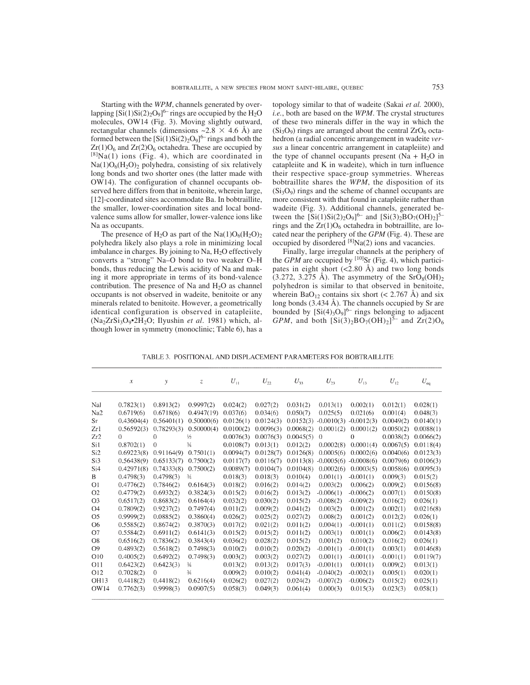Starting with the *WPM*, channels generated by overlapping  $[Si(1)Si(2)_2O_9]^{6-}$  rings are occupied by the H<sub>2</sub>O molecules, OW14 (Fig. 3). Moving slightly outward, rectangular channels (dimensions  $\sim$  2.8  $\times$  4.6 Å) are formed between the  $[Si(1)Si(2)_2O_9]^{6-}$  rings and both the  $Zr(1)O_6$  and  $Zr(2)O_6$  octahedra. These are occupied by  $[8]Na(1)$  ions (Fig. 4), which are coordinated in  $Na(1)O<sub>6</sub>(H<sub>2</sub>O)<sub>2</sub>$  polyhedra, consisting of six relatively long bonds and two shorter ones (the latter made with OW14). The configuration of channel occupants observed here differs from that in benitoite, wherein large, [12]-coordinated sites accommodate Ba. In bobtraillite, the smaller, lower-coordination sites and local bondvalence sums allow for smaller, lower-valence ions like Na as occupants.

The presence of  $H_2O$  as part of the Na(1) $O_6(H_2O)_2$ polyhedra likely also plays a role in minimizing local imbalance in charges. By joining to Na,  $H<sub>2</sub>O$  effectively converts a "strong" Na–O bond to two weaker O–H bonds, thus reducing the Lewis acidity of Na and making it more appropriate in terms of its bond-valence contribution. The presence of Na and H2O as channel occupants is not observed in wadeite, benitoite or any minerals related to benitoite. However, a geometrically identical configuration is observed in catapleiite, (Na2ZrSi3O9•2H2O; Ilyushin *et al*. 1981) which, although lower in symmetry (monoclinic; Table 6), has a

topology similar to that of wadeite (Sakai *et al.* 2000), *i.e.*, both are based on the *WPM*. The crystal structures of these two minerals differ in the way in which the  $(Si<sub>3</sub>O<sub>9</sub>)$  rings are arranged about the central  $ZrO<sub>6</sub>$  octahedron (a radial concentric arrangement in wadeite *versus* a linear concentric arrangement in catapleiite) and the type of channel occupants present (Na +  $H<sub>2</sub>O$  in catapleiite and K in wadeite), which in turn influence their respective space-group symmetries. Whereas bobtraillite shares the *WPM*, the disposition of its  $(Si<sub>3</sub>O<sub>9</sub>)$  rings and the scheme of channel occupants are more consistent with that found in catapleiite rather than wadeite (Fig. 3). Additional channels, generated between the  $[Si(1)Si(2)_2O_9]^{6-}$  and  $[Si(3)_2BO_7(OH)_2]^{5-}$ rings and the  $Zr(1)O_6$  octahedra in bobtraillite, are located near the periphery of the *GPM* (Fig. 4). These are occupied by disordered [8]Na(2) ions and vacancies.

Finally, large irregular channels at the periphery of the *GPM* are occupied by  $[10]$ Sr (Fig. 4), which participates in eight short  $(<2.80 \text{ Å})$  and two long bonds  $(3.272, 3.275 \text{ Å})$ . The asymmetry of the SrO<sub>8</sub>(OH)<sub>2</sub> polyhedron is similar to that observed in benitoite, wherein  $BaO_{12}$  contains six short (< 2.767 Å) and six long bonds (3.434 Å). The channels occupied by Sr are bounded by  $[Si(4)_3O_9]^{6-}$  rings belonging to adjacent *GPM*, and both  $\left[Si(3)_2BO_7(OH)_2\right]^{\bar{5}-}$  and  $\frac{Zr(2)O_6}{\bar{S}^2}$ 

TABLE 3. POSITIONAL AND DISPLACEMENT PARAMETERS FOR BOBTRAILLITE

|                 | $\mathcal{X}$ | у              | Z             | $U_{\perp}$ | $U_{\gamma\gamma}$ | $U_{33}$  | $U_{23}$     | $U_{13}$     | $U_{12}$    | $U_{eq}$  |
|-----------------|---------------|----------------|---------------|-------------|--------------------|-----------|--------------|--------------|-------------|-----------|
| Nal             | 0.7823(1)     | 0.8913(2)      | 0.9997(2)     | 0.024(2)    | 0.027(2)           | 0.031(2)  | 0.013(1)     | 0.002(1)     | 0.012(1)    | 0.028(1)  |
| Na2             | 0.6719(6)     | 0.6718(6)      | 0.4947(19)    | 0.037(6)    | 0.034(6)           | 0.050(7)  | 0.025(5)     | 0.021(6)     | 0.001(4)    | 0.048(3)  |
| Sr              | 0.43604(4)    | 0.56401(1)     | 0.50000(6)    | 0.0126(1)   | 0.0124(3)          | 0.0152(3) | $-0.0010(3)$ | $-0.0012(3)$ | 0.0049(2)   | 0.0140(1) |
| Zr1             | 0.56592(3)    | 0.78293(3)     | 0.50000(4)    | 0.0100(2)   | 0.0096(3)          | 0.0068(2) | 0.0001(2)    | 0.0001(2)    | 0.0050(2)   | 0.0088(1) |
| Zr2             | $\theta$      | $\overline{0}$ | 1/2           | 0.0076(3)   | 0.0076(3)          | 0.0045(5) | $\theta$     | $\Omega$     | 0.0038(2)   | 0.0066(2) |
| Si1             | 0.8702(1)     | $\theta$       | $\frac{3}{4}$ | 0.0108(7)   | 0.013(1)           | 0.012(2)  | 0.0002(8)    | 0.0001(4)    | 0.0067(5)   | 0.0118(4) |
| Si <sub>2</sub> | 0.69223(8)    | 0.91164(9)     | 0.7501(1)     | 0.0094(7)   | 0.0128(7)          | 0.0126(8) | 0.0005(6)    | 0.0002(6)    | 0.0040(6)   | 0.0123(3) |
| Si3             | 0.56438(9)    | 0.65133(7)     | 0.7500(2)     | 0.0117(7)   | 0.0116(7)          | 0.0113(8) | $-0.0005(6)$ | $-0.0008(6)$ | 0.0079(6)   | 0.0106(3) |
| Si <sub>4</sub> | 0.42971(8)    | 0.74333(8)     | 0.7500(2)     | 0.0089(7)   | 0.0104(7)          | 0.0104(8) | 0.0002(6)    | 0.0003(5)    | 0.0058(6)   | 0.0095(3) |
| B               | 0.4798(3)     | 0.4798(3)      | $\frac{3}{4}$ | 0.018(3)    | 0.018(3)           | 0.010(4)  | 0.001(1)     | $-0.001(1)$  | 0.009(3)    | 0.015(2)  |
| O <sub>1</sub>  | 0.4776(2)     | 0.7846(2)      | 0.6164(3)     | 0.018(2)    | 0.016(2)           | 0.014(2)  | 0.003(2)     | 0.006(2)     | 0.009(2)    | 0.0156(8) |
| O <sub>2</sub>  | 0.4779(2)     | 0.6932(2)      | 0.3824(3)     | 0.015(2)    | 0.016(2)           | 0.013(2)  | $-0.006(1)$  | $-0.006(2)$  | 0.007(1)    | 0.0150(8) |
| O <sub>3</sub>  | 0.6517(2)     | 0.8683(2)      | 0.6164(4)     | 0.032(2)    | 0.030(2)           | 0.015(2)  | $-0.008(2)$  | $-0.009(2)$  | 0.016(2)    | 0.026(1)  |
| O4              | 0.7809(2)     | 0.9237(2)      | 0.7497(4)     | 0.011(2)    | 0.009(2)           | 0.041(2)  | 0.003(2)     | 0.001(2)     | 0.002(1)    | 0.0216(8) |
| O <sub>5</sub>  | 0.9999(2)     | 0.0885(2)      | 0.3860(4)     | 0.026(2)    | 0.025(2)           | 0.027(2)  | 0.008(2)     | 0.001(2)     | 0.012(2)    | 0.026(1)  |
| O6              | 0.5585(2)     | 0.8674(2)      | 0.3870(3)     | 0.017(2)    | 0.021(2)           | 0.011(2)  | 0.004(1)     | $-0.001(1)$  | 0.011(2)    | 0.0158(8) |
| O7              | 0.5584(2)     | 0.6911(2)      | 0.6141(3)     | 0.015(2)    | 0.015(2)           | 0.011(2)  | 0.003(1)     | 0.001(1)     | 0.006(2)    | 0.0143(8) |
| O <sub>8</sub>  | 0.6516(2)     | 0.7836(2)      | 0.3843(4)     | 0.036(2)    | 0.028(2)           | 0.015(2)  | 0.001(2)     | 0.010(2)     | 0.016(2)    | 0.026(1)  |
| O <sub>9</sub>  | 0.4893(2)     | 0.5618(2)      | 0.7498(3)     | 0.010(2)    | 0.010(2)           | 0.020(2)  | $-0.001(1)$  | $-0.001(1)$  | 0.003(1)    | 0.0146(8) |
| O10             | 0.4005(2)     | 0.6492(2)      | 0.7498(3)     | 0.003(2)    | 0.003(2)           | 0.027(2)  | 0.001(1)     | $-0.001(1)$  | $-0.001(1)$ | 0.0119(7) |
| O11             | 0.6423(2)     | 0.6423(3)      | $\frac{3}{4}$ | 0.013(2)    | 0.013(2)           | 0.017(3)  | $-0.001(1)$  | 0.001(1)     | 0.009(2)    | 0.013(1)  |
| O <sub>12</sub> | 0.7028(2)     | $\Omega$       | $\frac{3}{4}$ | 0.009(2)    | 0.010(2)           | 0.041(4)  | $-0.040(2)$  | $-0.002(1)$  | 0.005(1)    | 0.020(1)  |
| <b>OH13</b>     | 0.4418(2)     | 0.4418(2)      | 0.6216(4)     | 0.026(2)    | 0.027(2)           | 0.024(2)  | $-0.007(2)$  | $-0.006(2)$  | 0.015(2)    | 0.025(1)  |
| OW14            | 0.7762(3)     | 0.9998(3)      | 0.0907(5)     | 0.058(3)    | 0.049(3)           | 0.061(4)  | 0.000(3)     | 0.015(3)     | 0.023(3)    | 0.058(1)  |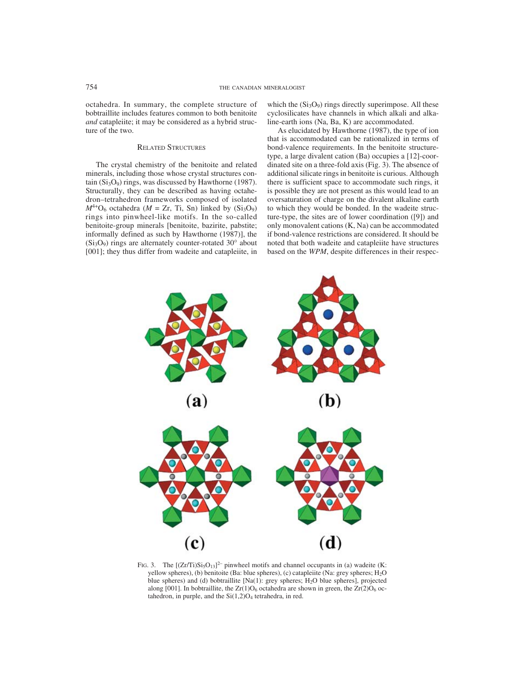octahedra. In summary, the complete structure of bobtraillite includes features common to both benitoite *and* catapleiite; it may be considered as a hybrid structure of the two.

#### RELATED STRUCTURES

The crystal chemistry of the benitoite and related minerals, including those whose crystal structures contain  $(Si<sub>3</sub>O<sub>9</sub>)$  rings, was discussed by Hawthorne (1987). Structurally, they can be described as having octahedron–tetrahedron frameworks composed of isolated  $M^{4+}O_6$  octahedra ( $M = Zr$ , Ti, Sn) linked by (Si<sub>3</sub>O<sub>9</sub>) rings into pinwheel-like motifs. In the so-called benitoite-group minerals [benitoite, bazirite, pabstite; informally defined as such by Hawthorne (1987)], the  $(Si<sub>3</sub>O<sub>9</sub>)$  rings are alternately counter-rotated 30 $^{\circ}$  about [001]; they thus differ from wadeite and catapleiite, in

which the  $(Si<sub>3</sub>O<sub>9</sub>)$  rings directly superimpose. All these cyclosilicates have channels in which alkali and alkaline-earth ions (Na, Ba, K) are accommodated.

As elucidated by Hawthorne (1987), the type of ion that is accommodated can be rationalized in terms of bond-valence requirements. In the benitoite structuretype, a large divalent cation (Ba) occupies a [12]-coordinated site on a three-fold axis (Fig. 3). The absence of additional silicate rings in benitoite is curious. Although there is sufficient space to accommodate such rings, it is possible they are not present as this would lead to an oversaturation of charge on the divalent alkaline earth to which they would be bonded. In the wadeite structure-type, the sites are of lower coordination ([9]) and only monovalent cations (K, Na) can be accommodated if bond-valence restrictions are considered. It should be noted that both wadeite and catapleiite have structures based on the *WPM*, despite differences in their respec-



FIG. 3. The  $[(Zr/Ti)Si<sub>5</sub>O<sub>13</sub>]<sup>2-</sup> primwheel motifs and channel occupies in (a) wadeite (K:$ yellow spheres), (b) benitoite (Ba: blue spheres), (c) catapleiite (Na: grey spheres; H<sub>2</sub>O blue spheres) and (d) bobtraillite [Na(1): grey spheres; H<sub>2</sub>O blue spheres], projected along [001]. In bobtraillite, the  $Zr(1)O_6$  octahedra are shown in green, the  $Zr(2)O_6$  octahedron, in purple, and the  $Si(1,2)O<sub>4</sub>$  tetrahedra, in red.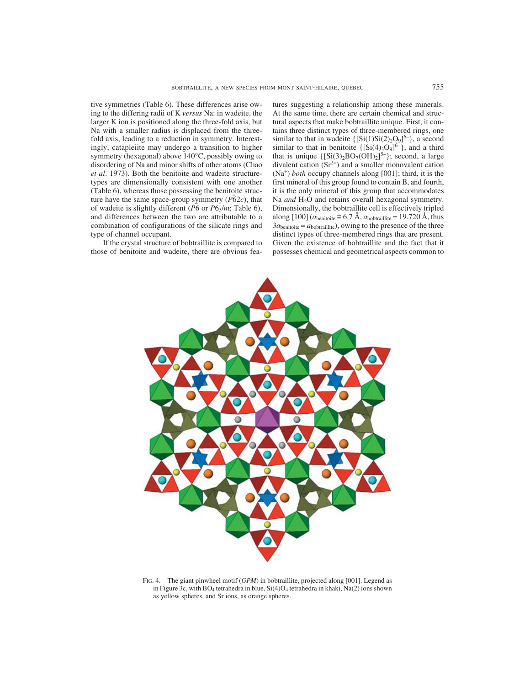tive symmetries (Table 6). These differences arise owing to the differing radii of K *versus* Na: in wadeite, the larger K ion is positioned along the three-fold axis, but Na with a smaller radius is displaced from the threefold axis, leading to a reduction in symmetry. Interestingly, catapleiite may undergo a transition to higher symmetry (hexagonal) above 140°C, possibly owing to disordering of Na and minor shifts of other atoms (Chao *et al*. 1973). Both the benitoite and wadeite structuretypes are dimensionally consistent with one another (Table 6), whereas those possessing the benitoite structure have the same space-group symmetry  $(P\bar{6}2c)$ , that of wadeite is slightly different (*P*¯ 6 or *P*63/*m*; Table 6), and differences between the two are attributable to a combination of configurations of the silicate rings and type of channel occupant.

 If the crystal structure of bobtraillite is compared to those of benitoite and wadeite, there are obvious features suggesting a relationship among these minerals. At the same time, there are certain chemical and structural aspects that make bobtraillite unique. First, it contains three distinct types of three-membered rings, one similar to that in wadeite  $\{ [Si(1)Si(2)_2O_9]^{6-} \}$ , a second similar to that in benitoite  $\{ [Si(4)<sub>3</sub>O<sub>9</sub>]^{6-} \}$ , and a third that is unique  $\{ [Si(3)_2BO_7(OH)_2]^{5-} \}$ ; second, a large divalent cation  $(Sr^{2+})$  and a smaller monovalent cation (Na+) *both* occupy channels along [001]; third, it is the first mineral of this group found to contain B, and fourth, it is the only mineral of this group that accommodates Na *and* H<sub>2</sub>O and retains overall hexagonal symmetry. Dimensionally, the bobtraillite cell is effectively tripled along [100]  $(a<sub>beniotic</sub> \cong 6.7 \text{ Å}, a<sub>bottraillite</sub> = 19.720 \text{ Å}, thus$  $3a_{\text{benitoite}} = a_{\text{bobtraillite}}$ , owing to the presence of the three distinct types of three-membered rings that are present. Given the existence of bobtraillite and the fact that it possesses chemical and geometrical aspects common to



FIG. 4. The giant pinwheel motif (*GPM*) in bobtraillite, projected along [001]. Legend as in Figure 3c, with BO<sub>4</sub> tetrahedra in blue, Si(4)O<sub>4</sub> tetrahedra in khaki, Na(2) ions shown as yellow spheres, and Sr ions, as orange spheres.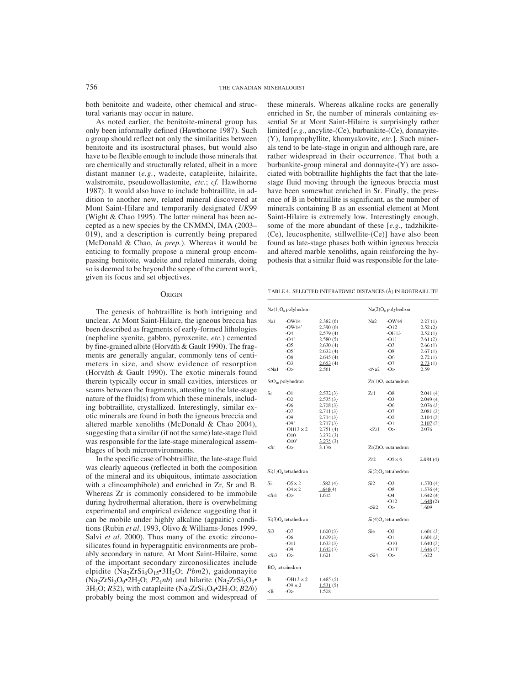both benitoite and wadeite, other chemical and structural variants may occur in nature.

As noted earlier, the benitoite-mineral group has only been informally defined (Hawthorne 1987). Such a group should reflect not only the similarities between benitoite and its isostructural phases, but would also have to be flexible enough to include those minerals that are chemically and structurally related, albeit in a more distant manner (*e.g.*, wadeite, catapleiite, hilairite, walstromite, pseudowollastonite, *etc.*; *cf.* Hawthorne 1987). It would also have to include bobtraillite, in addition to another new, related mineral discovered at Mont Saint-Hilare and temporarily designated *UK*99 (Wight & Chao 1995). The latter mineral has been accepted as a new species by the CNMMN, IMA (2003– 019), and a description is currently being prepared (McDonald & Chao, *in prep.*). Whereas it would be enticing to formally propose a mineral group encompassing benitoite, wadeite and related minerals, doing so is deemed to be beyond the scope of the current work, given its focus and set objectives.

#### **ORIGIN**

The genesis of bobtraillite is both intriguing and unclear. At Mont Saint-Hilaire, the igneous breccia has been described as fragments of early-formed lithologies (nepheline syenite, gabbro, pyroxenite, *etc.*) cemented by fine-grained albite (Horváth & Gault 1990). The fragments are generally angular, commonly tens of centimeters in size, and show evidence of resorption (Horváth & Gault 1990). The exotic minerals found therein typically occur in small cavities, interstices or seams between the fragments, attesting to the late-stage nature of the fluid(s) from which these minerals, including bobtraillite, crystallized. Interestingly, similar exotic minerals are found in both the igneous breccia and altered marble xenoliths (McDonald & Chao 2004), suggesting that a similar (if not the same) late-stage fluid was responsible for the late-stage mineralogical assemblages of both microenvironments.

In the specific case of bobtraillite, the late-stage fluid was clearly aqueous (reflected in both the composition of the mineral and its ubiquitous, intimate association with a clinoamphibole) and enriched in Zr, Sr and B. Whereas Zr is commonly considered to be immobile during hydrothermal alteration, there is overwhelming experimental and empirical evidence suggesting that it can be mobile under highly alkaline (agpaitic) conditions (Rubin *et al*. 1993, Olivo & Williams-Jones 1999, Salvi *et al.* 2000). Thus many of the exotic zirconosilicates found in hyperagpaitic environments are probably secondary in nature. At Mont Saint-Hilaire, some of the important secondary zirconosilicates include elpidite (Na2ZrSi6O15•3H2O; *Pbm*2), gaidonnayite  $(Na<sub>2</sub>ZrSi<sub>3</sub>O<sub>9</sub>•<sub>2</sub>H<sub>2</sub>O; P2<sub>1</sub>nb)$  and hilarite  $(Na<sub>2</sub>ZrSi<sub>3</sub>O<sub>9</sub>•$  $3H<sub>2</sub>O$ ; *R*32), with catapleiite (Na<sub>2</sub>ZrSi<sub>3</sub>O<sub>9</sub>•2H<sub>2</sub>O; *B*2*/b*) probably being the most common and widespread of these minerals. Whereas alkaline rocks are generally enriched in Sr, the number of minerals containing essential Sr at Mont Saint-Hilaire is surprisingly rather limited [*e.g.*, ancylite-(Ce), burbankite-(Ce), donnayite- (Y), lamprophyllite, khomyakovite, *etc.*]. Such minerals tend to be late-stage in origin and although rare, are rather widespread in their occurrence. That both a burbankite-group mineral and donnayite-(Y) are associated with bobtraillite highlights the fact that the latestage fluid moving through the igneous breccia must have been somewhat enriched in Sr. Finally, the presence of B in bobtraillite is significant, as the number of minerals containing B as an essential element at Mont Saint-Hilaire is extremely low. Interestingly enough, some of the more abundant of these [*e.g.*, tadzhikite- (Ce), leucosphenite, stillwellite-(Ce)] have also been found as late-stage phases both within igneous breccia and altered marble xenoliths, again reinforcing the hypothesis that a similar fluid was responsible for the late-

TABLE 4. SELECTED INTERATOMIC DISTANCES (Å) IN BOBTRAILLITE

|                                                                                                                                                                                                                                                                                                                                                                                           | Na(1)O <sub>s</sub> polyhedron                                                             |                                                                                                          |                                                               | $Na(2)O_8$ polyhedron                                                      |                                                                                             |
|-------------------------------------------------------------------------------------------------------------------------------------------------------------------------------------------------------------------------------------------------------------------------------------------------------------------------------------------------------------------------------------------|--------------------------------------------------------------------------------------------|----------------------------------------------------------------------------------------------------------|---------------------------------------------------------------|----------------------------------------------------------------------------|---------------------------------------------------------------------------------------------|
| Nal                                                                                                                                                                                                                                                                                                                                                                                       | $-OW14$<br>$-OW14'$<br>$-O4$<br>$-04'$<br>-05<br>$-05'$<br>$-OS$<br>$-O3$                  | 2.382(6)<br>2.390(6)<br>2.579(4)<br>2.580(5)<br>2.630(4)<br>2.632(4)<br>2.645(4)<br>2.653 <sub>(4)</sub> | Na2                                                           | $-OW14$<br>$-012$<br>$-OH13$<br>$-011$<br>$-O3$<br>$-OS$<br>$-O6$<br>$-07$ | 2.27(1)<br>2.52(2)<br>2.52(1)<br>2.61(2)<br>2.66(1)<br>2.67(1)<br>2.72(1)<br>2.73(1)        |
| <na1< td=""><td><math>-O</math></td><td>2.561</td><td><na2< td=""><td><math>-O</math></td><td>2.59</td></na2<></td></na1<>                                                                                                                                                                                                                                                                | $-O$                                                                                       | 2.561                                                                                                    | <na2< td=""><td><math>-O</math></td><td>2.59</td></na2<>      | $-O$                                                                       | 2.59                                                                                        |
|                                                                                                                                                                                                                                                                                                                                                                                           | SrO <sub>10</sub> polyhedron                                                               |                                                                                                          |                                                               | $Zr(1)O_6$ octahedron                                                      |                                                                                             |
| Sr                                                                                                                                                                                                                                                                                                                                                                                        | -01<br>$-02$<br>$-O6$<br>$-07$<br>$-09$<br>$-09'$<br>$-OH13 \times 2$<br>$-010$<br>$-010'$ | 2.532(3)<br>2.535(3)<br>2.708(3)<br>2.711(3)<br>2.714(3)<br>2.717(3)<br>2.751(4)<br>3.272(3)<br>3.275(3) | Zrl<br>Zr1                                                    | -08<br>$-O3$<br>$-O6$<br>$-O7$<br>$-O2$<br>$-O1$<br>$-O$                   | 2.041(4)<br>2.049 (4)<br>2.076(3)<br>2.081 (3)<br>2.104(3)<br>2.107 <sub>(3)</sub><br>2.076 |
| $\langle Sr$                                                                                                                                                                                                                                                                                                                                                                              | -0>                                                                                        | 3.176                                                                                                    |                                                               | $Zr(2)O_6$ octahedron                                                      |                                                                                             |
|                                                                                                                                                                                                                                                                                                                                                                                           |                                                                                            |                                                                                                          | Zr2                                                           | $-05 \times 6$                                                             | 2.084(4)                                                                                    |
|                                                                                                                                                                                                                                                                                                                                                                                           | Si(1)O <sub>4</sub> tetrahedron                                                            |                                                                                                          |                                                               | Si(2)O <sub>4</sub> tetrahedron                                            |                                                                                             |
| Sil<br><si1< td=""><td><math>-05 \times 2</math><br/><math>-04 \times 2</math><br/><math>-</math>O&gt;</td><td>1.582(4)<br/>1.648(4)<br/>1.615</td><td>Si<sub>2</sub><br/><math>&lt;</math>Si2</td><td><math>-O3</math><br/><math>-OS</math><br/><math>-O4</math><br/><math>-012</math><br/><math>-O</math></td><td>1.570(4)<br/>1.576(4)<br/>1.642(4)<br/>1.648(2)<br/>1.609</td></si1<> | $-05 \times 2$<br>$-04 \times 2$<br>$-$ O>                                                 | 1.582(4)<br>1.648(4)<br>1.615                                                                            | Si <sub>2</sub><br>$<$ Si2                                    | $-O3$<br>$-OS$<br>$-O4$<br>$-012$<br>$-O$                                  | 1.570(4)<br>1.576(4)<br>1.642(4)<br>1.648(2)<br>1.609                                       |
|                                                                                                                                                                                                                                                                                                                                                                                           | $Si(3)Oa$ tetrahedron                                                                      |                                                                                                          |                                                               | $Si(4)Oa$ tetrahedron                                                      |                                                                                             |
| Si3                                                                                                                                                                                                                                                                                                                                                                                       | -07<br>$-O6$<br>$-011$<br>$-09$                                                            | 1.600(3)<br>1.609(3)<br>1.633(3)<br>1.642(3)                                                             | Si4                                                           | $-O2$<br>$-O1$<br>$-010$<br>$-010'$                                        | 1.601(3)<br>1.601(3)<br>1,640(3)<br>1,646(3)                                                |
| $<$ Si3                                                                                                                                                                                                                                                                                                                                                                                   | $-O$                                                                                       | 1.621                                                                                                    | <si4< td=""><td><math>-0&gt;</math></td><td>1.622</td></si4<> | $-0>$                                                                      | 1.622                                                                                       |
|                                                                                                                                                                                                                                                                                                                                                                                           | BO <sub>1</sub> tetrahedron                                                                |                                                                                                          |                                                               |                                                                            |                                                                                             |
| В<br><b< td=""><td><math>-OH13 \times 2</math><br/><math>-09 \times 2</math><br/><math>-0&gt;</math></td><td>1.485(5)<br/>1.531(5)<br/>1.508</td><td></td><td></td><td></td></b<>                                                                                                                                                                                                         | $-OH13 \times 2$<br>$-09 \times 2$<br>$-0>$                                                | 1.485(5)<br>1.531(5)<br>1.508                                                                            |                                                               |                                                                            |                                                                                             |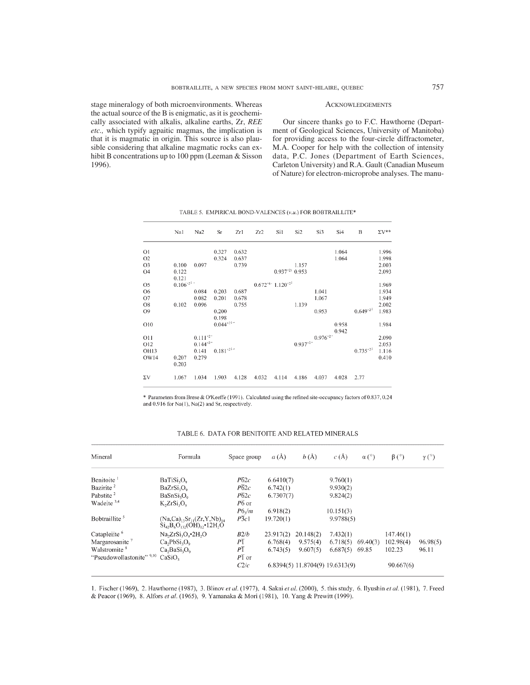stage mineralogy of both microenvironments. Whereas the actual source of the B is enigmatic, as it is geochemically associated with alkalis, alkaline earths, Zr, *REE etc.,* which typify agpaitic magmas, the implication is that it is magmatic in origin. This source is also plausible considering that alkaline magmatic rocks can exhibit B concentrations up to 100 ppm (Leeman & Sisson 1996).

#### **ACKNOWLEDGEMENTS**

Our sincere thanks go to F.C. Hawthorne (Department of Geological Sciences, University of Manitoba) for providing access to the four-circle diffractometer, M.A. Cooper for help with the collection of intensity data, P.C. Jones (Department of Earth Sciences, Carleton University) and R.A. Gault (Canadian Museum of Nature) for electron-microprobe analyses. The manu-

|                 | Na1            | Na2                | Sr             | Zr1   | Zr2   | Si1                                          | Si <sub>2</sub>    | Si3                       | Si4            | B             | $\Sigma V^{**}$ |
|-----------------|----------------|--------------------|----------------|-------|-------|----------------------------------------------|--------------------|---------------------------|----------------|---------------|-----------------|
| O <sub>1</sub>  |                |                    | 0.327          | 0.632 |       |                                              |                    |                           | 1.064          |               | 1.996           |
| O2              |                |                    | 0.324          | 0.637 |       |                                              |                    |                           | 1.064          |               | 1.998           |
| O <sub>3</sub>  | 0.100          | 0.097              |                | 0.739 |       |                                              | 1.157              |                           |                |               | 2.003           |
| O4              | 0.122<br>0.121 |                    |                |       |       | $0.937^{*21}$ 0.953                          |                    |                           |                |               | 2.093           |
| O <sub>5</sub>  | $0.106^{*21}$  |                    |                |       |       | $0.672^{×6}$ 1.120 <sup>x<sub>2</sub>1</sup> |                    |                           |                |               | 1.969           |
| O <sub>6</sub>  |                | 0.084              | 0.203          | 0.687 |       |                                              |                    | 1.041                     |                |               | 1.934           |
| O7              |                | 0.082              | 0.201          | 0.678 |       |                                              |                    | 1.067                     |                |               | 1.949           |
| O8              | 0.102          | 0.096              |                | 0.755 |       |                                              | 1.139              |                           |                |               | 2.002           |
| O <sub>9</sub>  |                |                    | 0.200<br>0.198 |       |       |                                              |                    | 0.953                     |                | $0.649^{*21}$ | 1.983           |
| O10             |                |                    | $0.044^{*21}$  |       |       |                                              |                    |                           | 0.958<br>0.942 |               | 1.984           |
| 011             |                | $0.111^{24}$       |                |       |       |                                              |                    | $0.976^{*2}$ <sup>-</sup> |                |               | 2.090           |
| O <sub>12</sub> |                | $0.144^{\times 2}$ |                |       |       |                                              | $0.937^{\times2-}$ |                           |                |               | 2.053           |
| OH13            |                | 0.141              | $0.181^{*21+}$ |       |       |                                              |                    |                           |                | $0.735^{*21}$ | 1.116           |
| OW14            | 0.207<br>0.203 | 0.279              |                |       |       |                                              |                    |                           |                |               | 0.410           |
| $\Sigma V$      | 1.067          | 1.034              | 1.903          | 4.128 | 4.032 | 4.114                                        | 4.186              | 4.037                     | 4.028          | 2.77          |                 |

TABLE 5. EMPIRICAL BOND-VALENCES (v.u.) FOR BOBTRAILLITE\*

\* Parameters from Brese & O'Keeffe (1991). Calculated using the refined site-occupancy factors of 0.837, 0.24 and 0.916 for Na(1), Na(2) and Sr, respectively.

| Mineral                    | Formula                                                                       | Space group        | a(A)      | b(A)      | c(A)                            | $\alpha$ (°) | $\beta$ (°) | $\gamma$ (°) |
|----------------------------|-------------------------------------------------------------------------------|--------------------|-----------|-----------|---------------------------------|--------------|-------------|--------------|
| Benitoite <sup>1</sup>     | BariSi <sub>3</sub> O <sub>9</sub>                                            | $P\overline{6}2c$  | 6.6410(7) |           | 9.760(1)                        |              |             |              |
| Bazirite <sup>2</sup>      | BaZrSi <sub>2</sub> O <sub>0</sub>                                            | $P\overline{6}2c$  | 6.742(1)  |           | 9.930(2)                        |              |             |              |
| Pabstite <sup>2</sup>      | BaSnSi <sub>3</sub> O <sub>0</sub>                                            | $\overline{P62c}$  | 6.7307(7) |           | 9.824(2)                        |              |             |              |
| Wadeite <sup>3,4</sup>     | $K_2ZrSi_3O_9$                                                                | $\overline{P6}$ or |           |           |                                 |              |             |              |
|                            |                                                                               | $P6_2/m$           | 6.918(2)  |           | 10.151(3)                       |              |             |              |
| Bobtraillite <sup>5</sup>  | $(Na,Ca)_{13}Sr_{11}(Zr,Y,Nb)_{14}$<br>$Si42B6O132(OH)12$ +12H <sub>2</sub> O | $P\overline{3}c1$  | 19.720(1) |           | 9.9788(5)                       |              |             |              |
| Catapleiite <sup>6</sup>   | $Na2ZrSi3O0•2H2O$                                                             | B2/b               | 23.917(2) | 20.148(2) | 7.432(1)                        |              | 147.46(1)   |              |
| Margarosanite <sup>7</sup> | Ca, PbSi, O <sub>o</sub>                                                      | P <sub>T</sub>     | 6.768(4)  | 9.575(4)  | 6.718(5)                        | 69.40(3)     | 102.98(4)   | 96.98(5)     |
| Walstromite <sup>8</sup>   | $Ca_2BaSi_3O_9$                                                               | $P\overline{1}$    | 6.743(5)  | 9.607(5)  | 6.687(5)                        | 69.85        | 102.23      | 96.11        |
| "Pseudowollastonite" 9,10  | CaSiO <sub>2</sub>                                                            | $P\overline{1}$ or |           |           |                                 |              |             |              |
|                            |                                                                               | C2/c               |           |           | 6.8394(5) 11.8704(9) 19.6313(9) |              | 90.667(6)   |              |

# TABLE 6. DATA FOR BENITOITE AND RELATED MINERALS

1. Fischer (1969), 2. Hawthorne (1987), 3. Blinov et al. (1977), 4. Sakai et al. (2000), 5. this study, 6. Ilyushin et al. (1981), 7. Freed & Peacor (1969), 8. Alfors et al. (1965), 9. Yamanaka & Mori (1981), 10. Yang & Prewitt (1999).